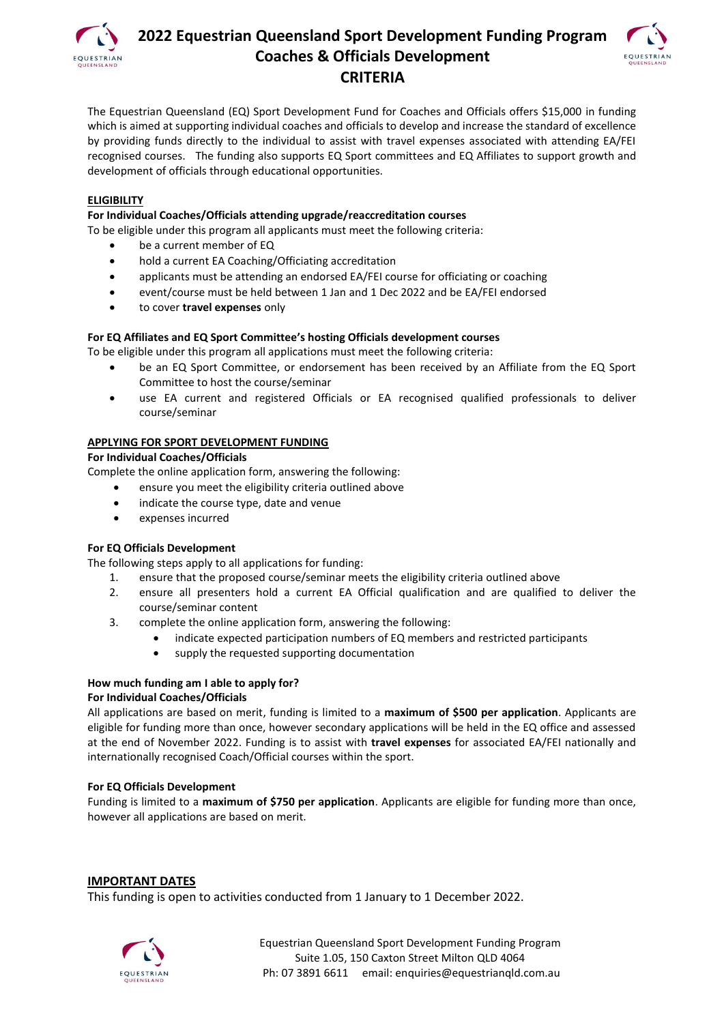

# **2022 Equestrian Queensland Sport Development Funding Program Coaches & Officials Development CRITERIA**



The Equestrian Queensland (EQ) Sport Development Fund for Coaches and Officials offers \$15,000 in funding which is aimed at supporting individual coaches and officials to develop and increase the standard of excellence by providing funds directly to the individual to assist with travel expenses associated with attending EA/FEI recognised courses. The funding also supports EQ Sport committees and EQ Affiliates to support growth and development of officials through educational opportunities.

# **ELIGIBILITY**

# **For Individual Coaches/Officials attending upgrade/reaccreditation courses**

To be eligible under this program all applicants must meet the following criteria:

- be a current member of EQ
	- hold a current EA Coaching/Officiating accreditation
- applicants must be attending an endorsed EA/FEI course for officiating or coaching
- event/course must be held between 1 Jan and 1 Dec 2022 and be EA/FEI endorsed
- to cover **travel expenses** only

# **For EQ Affiliates and EQ Sport Committee's hosting Officials development courses**

To be eligible under this program all applications must meet the following criteria:

- be an EQ Sport Committee, or endorsement has been received by an Affiliate from the EQ Sport Committee to host the course/seminar
- use EA current and registered Officials or EA recognised qualified professionals to deliver course/seminar

# **APPLYING FOR SPORT DEVELOPMENT FUNDING**

#### **For Individual Coaches/Officials**

Complete the online application form, answering the following:

- ensure you meet the eligibility criteria outlined above
- indicate the course type, date and venue
- expenses incurred

#### **For EQ Officials Development**

The following steps apply to all applications for funding:

- 1. ensure that the proposed course/seminar meets the eligibility criteria outlined above
- 2. ensure all presenters hold a current EA Official qualification and are qualified to deliver the course/seminar content
- 3. complete the online application form, answering the following:
	- indicate expected participation numbers of EQ members and restricted participants
	- supply the requested supporting documentation

# **How much funding am I able to apply for?**

#### **For Individual Coaches/Officials**

All applications are based on merit, funding is limited to a **maximum of \$500 per application**. Applicants are eligible for funding more than once, however secondary applications will be held in the EQ office and assessed at the end of November 2022. Funding is to assist with **travel expenses** for associated EA/FEI nationally and internationally recognised Coach/Official courses within the sport.

#### **For EQ Officials Development**

Funding is limited to a **maximum of \$750 per application**. Applicants are eligible for funding more than once, however all applications are based on merit.

#### **IMPORTANT DATES**

This funding is open to activities conducted from 1 January to 1 December 2022.